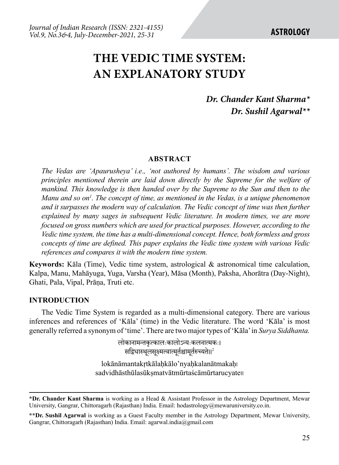# **The vedic time system: AN EXPLANATORY STUDY**

## *Dr. Chander Kant Sharma\* Dr. Sushil Agarwal\*\**

### **ABSTRACT**

*The Vedas are 'Apaurusheya' i.e., 'not authored by humans'. The wisdom and various principles mentioned therein are laid down directly by the Supreme for the welfare of mankind. This knowledge is then handed over by the Supreme to the Sun and then to the*  Manu and so on<sup>1</sup>. The concept of time, as mentioned in the Vedas, is a unique phenomenon *and it surpasses the modern way of calculation. The Vedic concept of time was then further explained by many sages in subsequent Vedic literature. In modern times, we are more focused on gross numbers which are used for practical purposes. However, according to the Vedic time system, the time has a multi-dimensional concept. Hence, both formless and gross concepts of time are defined. This paper explains the Vedic time system with various Vedic references and compares it with the modern time system.*

**Keywords:** Kāla (Time), Vedic time system, astrological & astronomical time calculation, Kalpa, Manu, Mahāyuga, Yuga, Varsha (Year), Māsa (Month), Paksha, Ahorātra (Day-Night), Ghati, Pala, Vipal, Prāṇa, Truti etc.

### **INTRODUCTION**

The Vedic Time System is regarded as a multi-dimensional category. There are various inferences and references of 'Kāla' (time) in the Vedic literature. The word 'Kāla' is most generally referred a synonym of 'time'. There are two major types of 'Kāla' in *Surya Siddhanta.*

> लोकानामन्तकृत्कालःकालोऽन्यःकलनात्मकः। सद्विधास्थूलसूक्ष्मत्वात्मूर्तश्चामूर्तरुच्यते॥ $^2$

lokānāmantakṛtkālaḥkālo'nyaḥkalanātmakaḥ। sadvidhāsthūlasūkṣmatvātmūrtaścāmūrtarucyate।।

**<sup>\*</sup>Dr. Chander Kant Sharma** is working as a Head & Assistant Professor in the Astrology Department, Mewar University, Gangrar, Chittoragarh (Rajasthan) India. Email: hodastrology@mewaruniversity.co.in.

**<sup>\*\*</sup>Dr. Sushil Agarwal** is working as a Guest Faculty member in the Astrology Department, Mewar University, Gangrar, Chittoragarh (Rajasthan) India. Email: agarwal.india@gmail.com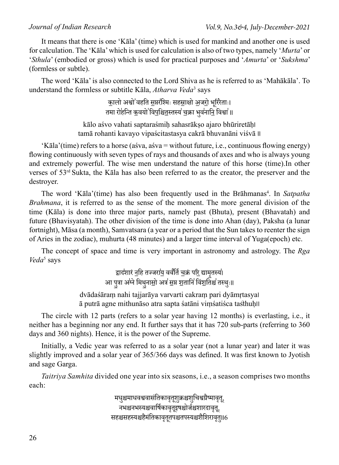It means that there is one 'Kāla' (time) which is used for mankind and another one is used for calculation. The 'Kāla' which is used for calculation is also of two types, namely '*Murta*' or '*Sthula*' (embodied or gross) which is used for practical purposes and '*Amurta*' or '*Sukshma*' (formless or subtle).

The word 'Kāla' is also connected to the Lord Shiva as he is referred to as 'Mahākāla'. To understand the formless or subtitle Kāla, *Atharva Veda*<sup>3</sup> says

> कालो अश्वो<sup>'</sup>वहति <u>स</u>प्तरश्मिः सह<u>स्र</u>ाक्षो <u>अजरो</u> भूरिरेताः। तमा रोहन्ति क॒वयो ॑विप॒श्चि<u>त</u>स्तस्य॑ च॒क्रा भुव॑नानि॒ विश्वा॑॥

kālo aśvo vahati saptaraśmih sahasrākso ajaro bhūriretāh! tamā rohanti kavayo vipaścitastasya cakrā bhuvanāni viśvā ॥

'Kāla'(time) refers to a horse (aśva, aśva = without future, i.e., continuous flowing energy) flowing continuously with seven types of rays and thousands of axes and who is always young and extremely powerful. The wise men understand the nature of this horse (time).In other verses of  $53<sup>rd</sup>$  Sukta, the Kāla has also been referred to as the creator, the preserver and the destroyer.

The word 'Kāla'(time) has also been frequently used in the Brāhmanas<sup>4</sup>. In *Satpatha Brahmana*, it is referred to as the sense of the moment. The more general division of the time (Kāla) is done into three major parts, namely past (Bhuta), present (Bhavatah) and future (Bhavisyatah). The other division of the time is done into Ahan (day), Paksha (a lunar fortnight), Māsa (a month), Samvatsara (a year or a period that the Sun takes to reenter the sign of Aries in the zodiac), muhurta (48 minutes) and a larger time interval of Yuga(epoch) etc.

The concept of space and time is very important in astronomy and astrology. The *Rga Veda*<sup>5</sup> says

> द्वाद॑शारं <u>न</u>हि तज्जरा॑<u>य</u> वर्व॑र्ति च॒क्रं प<u>रि</u> द्यामृत तस्य।<br>प आ पुत्रा अग्ने मिथुना<u>सो अत्र स</u>प्त शतानि विंशतिश्च तस्थुः॥ dvādaśāraṃ nahi tajjarāya varvarti cakraṃ pari dyāmṛtasya। ā putrā agne mithunāso atra sapta śatāni viṃśatiśca tasthuḥ।।

The circle with 12 parts (refers to a solar year having 12 months) is everlasting, i.e., it neither has a beginning nor any end. It further says that it has 720 sub-parts (referring to 360 days and 360 nights). Hence, it is the power of the Supreme.

Initially, a Vedic year was referred to as a solar year (not a lunar year) and later it was slightly improved and a solar year of 365/366 days was defined. It was first known to Jyotish and sage Garga.

*Taitriya Samhita* divided one year into six seasons, i.e., a season comprises two months each:

> मधुश्चमाधवश्ववासंतिकावृतूशुक्रश्चशुचिश्वग्रैष्मावृतू, नभश्चनभस्यश्चवार्षिकावृतूइषश्चोर्जश्चशारदावृतू, सहश्चसहस्यश्चहैमंतिकावृतुतपश्चतपस्यश्चशैशिरावतु॥6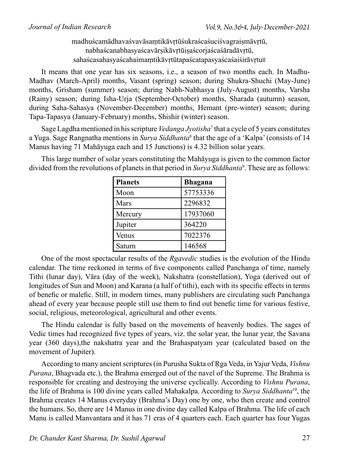madhuścamādhavaśvavāsaṃtikāvṛtūśukraścaśuciśvagraiṣmāvṛtū, nabhaścanabhasyaścavārṣikāvrtūiṣaścoriaścaśāradāvrtū, sahaścasahasyaścahaimaṃtikāvṛtūtapaścatapasyaścaśaiśirāvṛtu॥

It means that one year has six seasons, i.e., a season of two months each. In Madhu-Madhav (March-April) months, Vasant (spring) season; during Shukra-Shuchi (May-June) months, Grisham (summer) season; during Nabh-Nabhasya (July-August) months, Varsha (Rainy) season; during Isha-Urja (September-October) months, Sharada (autumn) season, during Saha-Sahasya (November-December) months, Hemant (pre-winter) season; during Tapa-Tapasya (January-February) months, Shishir (winter) season.

Sage Lagdha mentioned in his scripture *Vedanga Jyotisha*<sup>7</sup> that a cycle of 5 years constitutes a Yuga. Sage Rangnatha mentions in *Surya Siddhanta*<sup>8</sup> that the age of a 'Kalpa' (consists of 14 Manus having 71 Mahāyuga each and 15 Junctions) is 4.32 billion solar years.

This large number of solar years constituting the Mahāyuga is given to the common factor divided from the revolutions of planets in that period in *Surya Siddhanta*<sup>9</sup> . These are as follows:

| <b>Planets</b> | Bhagana  |
|----------------|----------|
| Moon           | 57753336 |
| Mars           | 2296832  |
| Mercury        | 17937060 |
| Jupiter        | 364220   |
| Venus          | 7022376  |
| Saturn         | 146568   |

One of the most spectacular results of the *Rgavedic* studies is the evolution of the Hindu calendar. The time reckoned in terms of five components called Panchanga of time, namely Tithi (lunar day), Vāra (day of the week), Nakshatra (constellation), Yoga (derived out of longitudes of Sun and Moon) and Karana (a half of tithi), each with its specific effects in terms of benefic or malefic. Still, in modern times, many publishers are circulating such Panchanga ahead of every year because people still use them to find out benefic time for various festive, social, religious, meteorological, agricultural and other events.

The Hindu calendar is fully based on the movements of heavenly bodies. The sages of Vedic times had recognized five types of years, viz. the solar year, the lunar year, the Savana year (360 days),the nakshatra year and the Brahaspatyam year (calculated based on the movement of Jupiter).

According to many ancient scriptures (in Purusha Sukta of Ṛga Veda, in Yajur Veda, *Vishnu Purana*, Bhagvada etc.), the Brahma emerged out of the navel of the Supreme. The Brahma is responsible for creating and destroying the universe cyclically. According to *Vishnu Purana*, the life of Brahma is 100 divine years called Mahakalpa. According to *Surya Siddhanta*10, the Brahma creates 14 Manus everyday (Brahma's Day) one by one, who then create and control the humans. So, there are 14 Manus in one divine day called Kalpa of Brahma. The life of each Manu is called Manvantara and it has 71 eras of 4 quarters each. Each quarter has four Yugas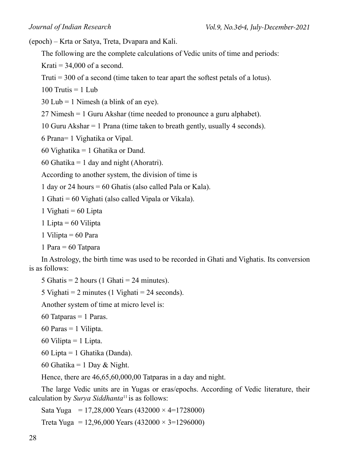(epoch) – Krta or Satya, Treta, Dvapara and Kali.

The following are the complete calculations of Vedic units of time and periods:

Krati  $= 34,000$  of a second.

Truti = 300 of a second (time taken to tear apart the softest petals of a lotus).

100 Trutis  $= 1$  Lub

 $30$  Lub = 1 Nimesh (a blink of an eye).

27 Nimesh = 1 Guru Akshar (time needed to pronounce a guru alphabet).

10 Guru Akshar = 1 Prana (time taken to breath gently, usually 4 seconds).

6 Prana= 1 Vighatika or Vipal.

60 Vighatika = 1 Ghatika or Dand.

60 Ghatika = 1 day and night (Ahoratri).

According to another system, the division of time is

1 day or 24 hours = 60 Ghatis (also called Pala or Kala).

1 Ghati = 60 Vighati (also called Vipala or Vikala).

1 Vighati  $= 60$  Lipta

1 Lipta  $= 60$  Vilipta

1 Vilipta  $= 60$  Para

1 Para = 60 Tatpara

In Astrology, the birth time was used to be recorded in Ghati and Vighatis. Its conversion is as follows:

5 Ghatis = 2 hours (1 Ghati = 24 minutes).

5 Vighati = 2 minutes (1 Vighati =  $24$  seconds).

Another system of time at micro level is:

60 Tatparas  $= 1$  Paras.

 $60$  Paras = 1 Vilipta.

60 Vilipta  $=$  1 Lipta.

60 Lipta = 1 Ghatika (Danda).

60 Ghatika = 1 Day & Night.

Hence, there are 46,65,60,000,00 Tatparas in a day and night.

The large Vedic units are in Yugas or eras/epochs. According of Vedic literature, their calculation by *Surya Siddhanta*11 is as follows:

Sata Yuga = 17,28,000 Years  $(432000 \times 4=1728000)$ 

Treta Yuga = 12,96,000 Years  $(432000 \times 3=1296000)$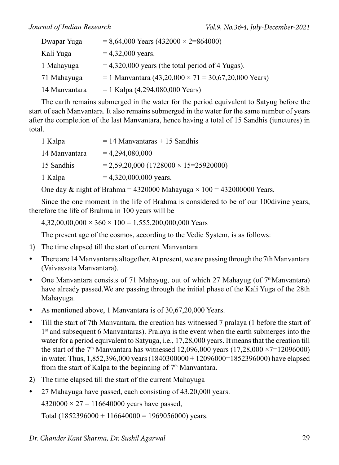| Dwapar Yuga   | $= 8,64,000$ Years (432000 $\times$ 2=864000)          |
|---------------|--------------------------------------------------------|
| Kali Yuga     | $= 4,32,000$ years.                                    |
| 1 Mahayuga    | $= 4,320,000$ years (the total period of 4 Yugas).     |
| 71 Mahayuga   | $= 1$ Manyantara (43,20,000 × 71 = 30,67,20,000 Years) |
| 14 Manvantara | $= 1$ Kalpa (4,294,080,000 Years)                      |

The earth remains submerged in the water for the period equivalent to Satyug before the start of each Manvantara. It also remains submerged in the water for the same number of years after the completion of the last Manvantara, hence having a total of 15 Sandhis (junctures) in total.

| 1 Kalpa       | $= 14$ Manvantaras + 15 Sandhis                |
|---------------|------------------------------------------------|
| 14 Manyantara | $= 4,294,080,000$                              |
| 15 Sandhis    | $= 2,59,20,000 (1728000 \times 15 = 25920000)$ |
| 1 Kalpa       | $= 4,320,000,000$ years.                       |
|               |                                                |

One day & night of Brahma = 4320000 Mahayuga  $\times$  100 = 432000000 Years.

Since the one moment in the life of Brahma is considered to be of our 100divine years, therefore the life of Brahma in 100 years will be

 $4,32,00,00,000 \times 360 \times 100 = 1,555,200,000,000$  Years

The present age of the cosmos, according to the Vedic System, is as follows:

- 1) The time elapsed till the start of current Manvantara
- There are 14 Manvantaras altogether. At present, we are passing through the 7th Manvantara (Vaivasvata Manvantara).
- One Manvantara consists of 71 Mahayug, out of which 27 Mahayug (of  $7<sup>th</sup>$ Manvantara) have already passed.We are passing through the initial phase of the Kali Yuga of the 28th Mahāyuga.
- As mentioned above, 1 Manvantara is of  $30,67,20,000$  Years.
- Till the start of 7th Manvantara, the creation has witnessed 7 pralaya (1 before the start of 1st and subsequent 6 Manvantaras). Pralaya is the event when the earth submerges into the water for a period equivalent to Satyuga, i.e., 17,28,000 years. It means that the creation till the start of the  $7<sup>th</sup>$  Manvantara has witnessed 12,096,000 years (17,28,000  $\times$ 7=12096000) in water. Thus, 1,852,396,000 years (1840300000 + 12096000=1852396000) have elapsed from the start of Kalpa to the beginning of  $7<sup>th</sup>$  Manvantara.
- 2) The time elapsed till the start of the current Mahayuga
- 27 Mahayuga have passed, each consisting of 43,20,000 years.

 $4320000 \times 27 = 116640000$  years have passed,

Total (1852396000 + 116640000 = 1969056000) years.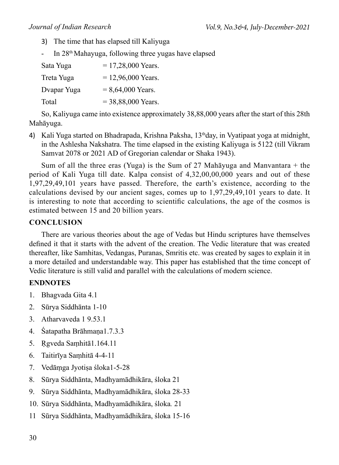- 3) The time that has elapsed till Kaliyuga
- In 28<sup>th</sup> Mahayuga, following three yugas have elapsed

| Sata Yuga   | $= 17,28,000$ Years. |
|-------------|----------------------|
| Treta Yuga  | $= 12,96,000$ Years. |
| Dvapar Yuga | $= 8,64,000$ Years.  |
| Total       | $= 38,88,000$ Years. |

So, Kaliyuga came into existence approximately 38,88,000 years after the start of this 28th Mahāyuga.

4) Kali Yuga started on Bhadrapada, Krishna Paksha,  $13<sup>th</sup>$ day, in Vyatipaat yoga at midnight, in the Ashlesha Nakshatra. The time elapsed in the existing Kaliyuga is 5122 (till Vikram Samvat 2078 or 2021 AD of Gregorian calendar or Shaka 1943).

Sum of all the three eras (Yuga) is the Sum of 27 Mahayuga and Manvantara  $+$  the period of Kali Yuga till date. Kalpa consist of 4,32,00,00,000 years and out of these 1,97,29,49,101 years have passed. Therefore, the earth's existence, according to the calculations devised by our ancient sages, comes up to 1,97,29,49,101 years to date. It is interesting to note that according to scientific calculations, the age of the cosmos is estimated between 15 and 20 billion years.

### **Conclusion**

There are various theories about the age of Vedas but Hindu scriptures have themselves defined it that it starts with the advent of the creation. The Vedic literature that was created thereafter, like Samhitas, Vedangas, Puranas, Smritis etc. was created by sages to explain it in a more detailed and understandable way. This paper has established that the time concept of Vedic literature is still valid and parallel with the calculations of modern science.

### **ENDNOTES**

- 1. Bhagvada Gita 4.1
- 2. Sūrya Siddhānta 1-10
- 3. Atharvaveda 1 9.53.1
- 4. Śatapatha Brāhmaṇa1.7.3.3
- 5. Ṛgveda Saṃhitā1.164.11
- 6. Taitirīya Saṃhitā 4-4-11
- 7. Vedāṃga Jyotiṣa śloka1-5-28
- 8. Sūrya Siddhānta, Madhyamādhikāra, śloka 21
- 9. Sūrya Siddhānta, Madhyamādhikāra, śloka 28-33
- 10. Sūrya Siddhānta, Madhyamādhikāra, śloka*.* 21
- 11 Sūrya Siddhānta, Madhyamādhikāra, śloka 15-16